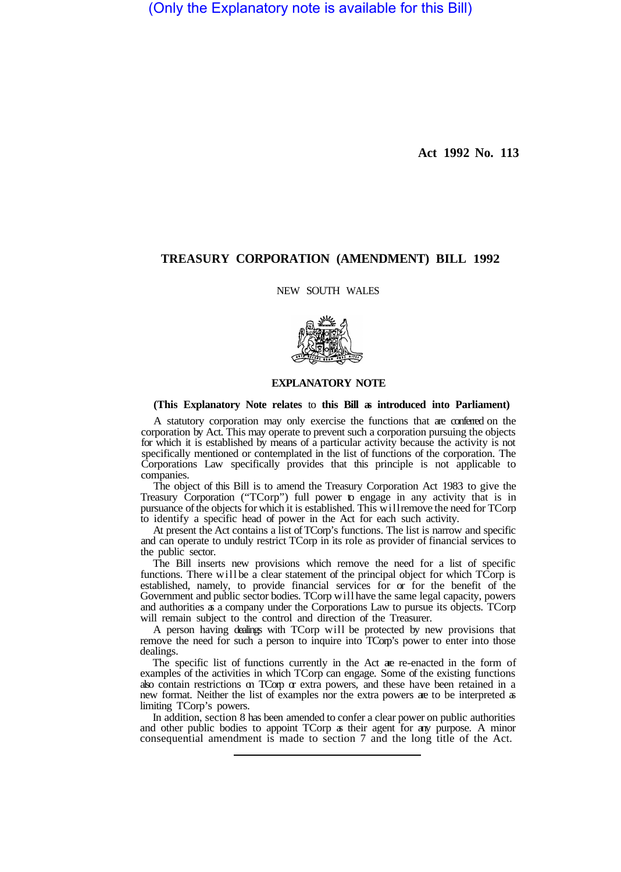(Only the Explanatory note is available for this Bill)

**Act 1992 No. 113** 

## **TREASURY CORPORATION (AMENDMENT) BILL 1992**

NEW SOUTH WALES



## **EXPLANATORY NOTE**

## **(This Explanatory Note relates** to **this Bill as introduced into Parliament)**

A statutory corporation may only exercise the functions that are conferred on the corporation by Act. This may operate to prevent such a corporation pursuing the objects for which it is established by means of a particular activity because the activity is not specifically mentioned or contemplated in the list of functions of the corporation. The Corporations Law specifically provides that this principle is not applicable to companies.

The object of this Bill is to amend the Treasury Corporation Act 1983 to give the Treasury Corporation ("TCorp") full power to engage in any activity that is in pursuance of the objects for which it is established. This will remove the need for TCorp to identify a specific head of power in the Act for each such activity.

At present the Act contains a list of TCorp's functions. The list is narrow and specific and can operate to unduly restrict TCorp in its role as provider of financial services to the public sector.

The Bill inserts new provisions which remove the need for a list of specific functions. There will be a clear statement of the principal object for which  $\overline{T}$ Corp is established, namely, to provide financial services for or for the benefit of the Government and public sector bodies. TCorp will have the same legal capacity, powers and authorities as a company under the Corporations Law to pursue its objects. TCorp will remain subject to the control and direction of the Treasurer.

A person having dealings with TCorp will be protected by new provisions that remove the need for such a person to inquire into TCorp's power to enter into those dealings.

The specific list of functions currently in the Act are re-enacted in the form of examples of the activities in which TCorp can engage. Some of the existing functions also contain restrictions on TCorp or extra powers, and these have been retained in a new format. Neither the list of examples nor the extra powers are to be interpreted as limiting TCorp's powers.

In addition, section 8 has been amended to confer a clear power on public authorities and other public bodies to appoint TCorp as their agent for any purpose. A minor consequential amendment is made to section 7 and the long title of the Act.